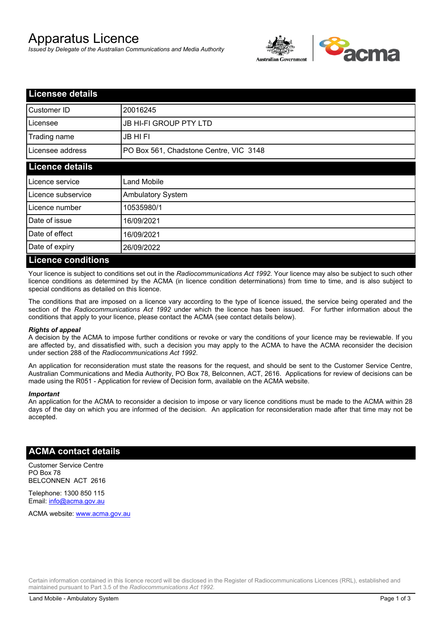# Apparatus Licence

*Issued by Delegate of the Australian Communications and Media Authority*



| <b>Licensee details</b>   |                                        |  |  |
|---------------------------|----------------------------------------|--|--|
| Customer ID               | 20016245                               |  |  |
| Licensee                  | <b>JB HI-FI GROUP PTY LTD</b>          |  |  |
| Trading name              | <b>JB HIFI</b>                         |  |  |
| Licensee address          | PO Box 561, Chadstone Centre, VIC 3148 |  |  |
| <b>Licence details</b>    |                                        |  |  |
| Licence service           | <b>Land Mobile</b>                     |  |  |
| Licence subservice        | <b>Ambulatory System</b>               |  |  |
| Licence number            | 10535980/1                             |  |  |
| Date of issue             | 16/09/2021                             |  |  |
| Date of effect            | 16/09/2021                             |  |  |
| Date of expiry            | 26/09/2022                             |  |  |
| <b>Licence conditions</b> |                                        |  |  |

Your licence is subject to conditions set out in the *Radiocommunications Act 1992*. Your licence may also be subject to such other licence conditions as determined by the ACMA (in licence condition determinations) from time to time, and is also subject to special conditions as detailed on this licence.

The conditions that are imposed on a licence vary according to the type of licence issued, the service being operated and the section of the *Radiocommunications Act 1992* under which the licence has been issued. For further information about the conditions that apply to your licence, please contact the ACMA (see contact details below).

### *Rights of appeal*

A decision by the ACMA to impose further conditions or revoke or vary the conditions of your licence may be reviewable. If you are affected by, and dissatisfied with, such a decision you may apply to the ACMA to have the ACMA reconsider the decision under section 288 of the *Radiocommunications Act 1992*.

An application for reconsideration must state the reasons for the request, and should be sent to the Customer Service Centre, Australian Communications and Media Authority, PO Box 78, Belconnen, ACT, 2616. Applications for review of decisions can be made using the R051 - Application for review of Decision form, available on the ACMA website.

#### *Important*

An application for the ACMA to reconsider a decision to impose or vary licence conditions must be made to the ACMA within 28 days of the day on which you are informed of the decision. An application for reconsideration made after that time may not be accepted.

### **ACMA contact details**

Customer Service Centre PO Box 78 BELCONNEN ACT 2616

Telephone: 1300 850 115 Email: info@acma.gov.au

ACMA website: www.acma.gov.au

Certain information contained in this licence record will be disclosed in the Register of Radiocommunications Licences (RRL), established and maintained pursuant to Part 3.5 of the *Radiocommunications Act 1992.*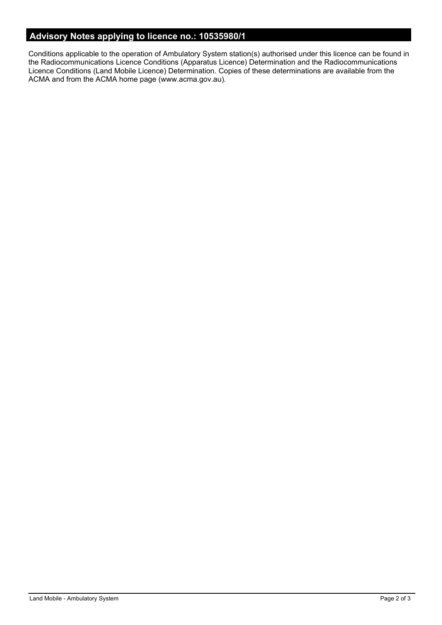# **Advisory Notes applying to licence no.: 10535980/1**

Conditions applicable to the operation of Ambulatory System station(s) authorised under this licence can be found in the Radiocommunications Licence Conditions (Apparatus Licence) Determination and the Radiocommunications Licence Conditions (Land Mobile Licence) Determination. Copies of these determinations are available from the ACMA and from the ACMA home page (www.acma.gov.au).